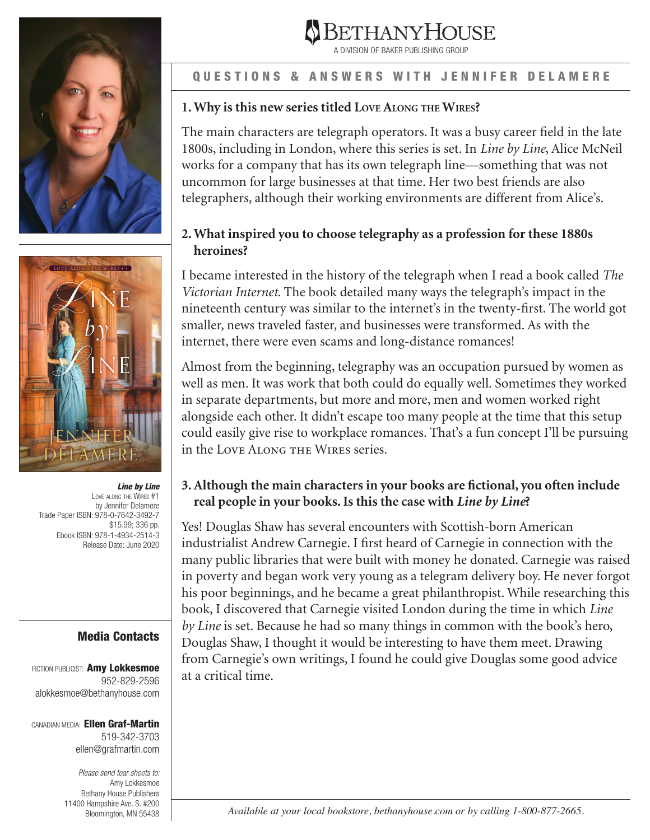



*Line by Line*  Love along the Wires #1 by Jennifer Delamere Trade Paper ISBN: 978-0-7642-3492-7 \$15.99; 336 pp. Ebook ISBN: 978-1-4934-2514-3 Release Date: June 2020

## Media Contacts

FICTION PUBLICIST: Amy Lokkesmoe 952-829-2596 alokkesmoe@bethanyhouse.com

CANADIAN MEDIA: Ellen Graf-Martin 519-342-3703 ellen@grafmartin.com

> *Please send tear sheets to:* Amy Lokkesmoe Bethany House Publishers 11400 Hampshire Ave. S. #200 Bloomington, MN 55438



A DIVISION OF BAKER PUBLISHING GROUP

### QUESTIONS & ANSWERS WITH JENNIFER DELAMERE

## **1. Why is this new series titled Love Along the Wires?**

uncommon for large businesses at that time. Her two best friends are also The main characters are telegraph operators. It was a busy career field in the late 1800s, including in London, where this series is set. In *Line by Line*, Alice McNeil works for a company that has its own telegraph line—something that was not telegraphers, although their working environments are different from Alice's.

## **2. What inspired you to choose telegraphy as a profession for these 1880s heroines?**

I became interested in the history of the telegraph when I read a book called *The Victorian Internet*. The book detailed many ways the telegraph's impact in the nineteenth century was similar to the internet's in the twenty-first. The world got smaller, news traveled faster, and businesses were transformed. As with the internet, there were even scams and long-distance romances!

Almost from the beginning, telegraphy was an occupation pursued by women as well as men. It was work that both could do equally well. Sometimes they worked in separate departments, but more and more, men and women worked right alongside each other. It didn't escape too many people at the time that this setup could easily give rise to workplace romances. That's a fun concept I'll be pursuing in the Love Along the Wires series.

# **3. Although the main characters in your books are fictional, you often include real people in your books. Is this the case with** *Line by Line***?**

Yes! Douglas Shaw has several encounters with Scottish-born American industrialist Andrew Carnegie. I first heard of Carnegie in connection with the many public libraries that were built with money he donated. Carnegie was raised in poverty and began work very young as a telegram delivery boy. He never forgot his poor beginnings, and he became a great philanthropist. While researching this book, I discovered that Carnegie visited London during the time in which *Line by Line* is set. Because he had so many things in common with the book's hero, Douglas Shaw, I thought it would be interesting to have them meet. Drawing from Carnegie's own writings, I found he could give Douglas some good advice at a critical time.